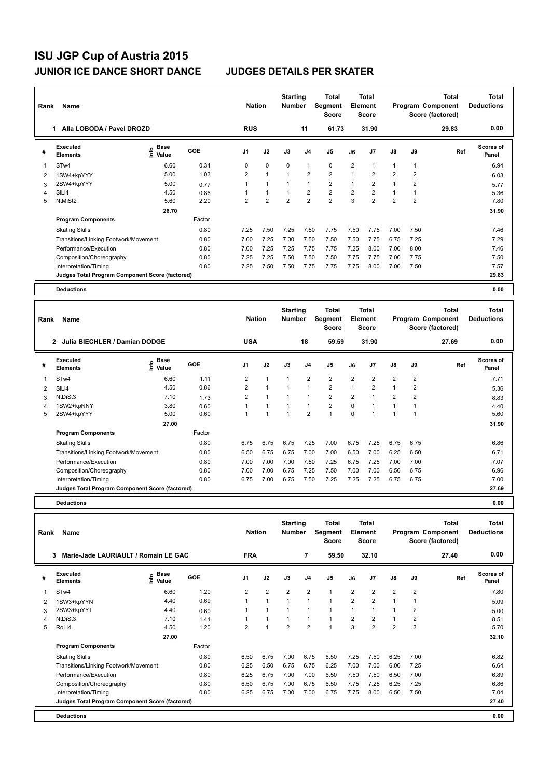| Rank           | Name                                            |                              |        | <b>Nation</b>  |                | <b>Starting</b><br><b>Number</b> |                | Total<br>Segment<br><b>Score</b> |                | <b>Total</b><br>Element<br><b>Score</b> |                |                | Total<br>Program Component<br>Score (factored) | <b>Total</b><br><b>Deductions</b> |
|----------------|-------------------------------------------------|------------------------------|--------|----------------|----------------|----------------------------------|----------------|----------------------------------|----------------|-----------------------------------------|----------------|----------------|------------------------------------------------|-----------------------------------|
|                | Alla LOBODA / Pavel DROZD<br>1                  |                              |        | <b>RUS</b>     |                |                                  | 11             | 61.73                            |                | 31.90                                   |                |                | 29.83                                          | 0.00                              |
| #              | Executed<br><b>Elements</b>                     | <b>Base</b><br>١nfo<br>Value | GOE    | J <sub>1</sub> | J2             | J3                               | J <sub>4</sub> | J5                               | J6             | J7                                      | J8             | J9             | Ref                                            | <b>Scores of</b><br>Panel         |
| 1              | ST <sub>w</sub> 4                               | 6.60                         | 0.34   | 0              | $\mathbf 0$    | $\Omega$                         | $\mathbf{1}$   | $\mathbf 0$                      | $\overline{2}$ | 1                                       | $\mathbf{1}$   | 1              |                                                | 6.94                              |
| $\overline{2}$ | 1SW4+kpYYY                                      | 5.00                         | 1.03   | $\overline{2}$ | $\overline{1}$ | $\overline{1}$                   | $\overline{2}$ | $\overline{2}$                   | 1              | $\overline{2}$                          | $\overline{2}$ | $\overline{2}$ |                                                | 6.03                              |
| 3              | 2SW4+kpYYY                                      | 5.00                         | 0.77   |                | $\overline{1}$ | $\overline{1}$                   | $\overline{1}$ | $\overline{2}$                   | $\overline{1}$ | $\overline{2}$                          | $\mathbf{1}$   | 2              |                                                | 5.77                              |
| 4              | SILi4                                           | 4.50                         | 0.86   |                | $\overline{1}$ | $\overline{1}$                   | $\overline{2}$ | $\overline{2}$                   | $\overline{2}$ | $\overline{2}$                          | 1              |                |                                                | 5.36                              |
| 5              | NtMiSt2                                         | 5.60                         | 2.20   | $\overline{2}$ | $\overline{2}$ | $\overline{2}$                   | $\overline{2}$ | $\overline{2}$                   | 3              | $\overline{2}$                          | $\overline{2}$ | $\overline{2}$ |                                                | 7.80                              |
|                |                                                 | 26.70                        |        |                |                |                                  |                |                                  |                |                                         |                |                |                                                | 31.90                             |
|                | <b>Program Components</b>                       |                              | Factor |                |                |                                  |                |                                  |                |                                         |                |                |                                                |                                   |
|                | <b>Skating Skills</b>                           |                              | 0.80   | 7.25           | 7.50           | 7.25                             | 7.50           | 7.75                             | 7.50           | 7.75                                    | 7.00           | 7.50           |                                                | 7.46                              |
|                | Transitions/Linking Footwork/Movement           |                              | 0.80   | 7.00           | 7.25           | 7.00                             | 7.50           | 7.50                             | 7.50           | 7.75                                    | 6.75           | 7.25           |                                                | 7.29                              |
|                | Performance/Execution                           |                              | 0.80   | 7.00           | 7.25           | 7.25                             | 7.75           | 7.75                             | 7.25           | 8.00                                    | 7.00           | 8.00           |                                                | 7.46                              |
|                | Composition/Choreography                        |                              | 0.80   | 7.25           | 7.25           | 7.50                             | 7.50           | 7.50                             | 7.75           | 7.75                                    | 7.00           | 7.75           |                                                | 7.50                              |
|                | Interpretation/Timing                           |                              | 0.80   | 7.25           | 7.50           | 7.50                             | 7.75           | 7.75                             | 7.75           | 8.00                                    | 7.00           | 7.50           |                                                | 7.57                              |
|                | Judges Total Program Component Score (factored) |                              |        |                |                |                                  |                |                                  |                |                                         |                |                |                                                | 29.83                             |
|                | <b>Deductions</b>                               |                              |        |                |                |                                  |                |                                  |                |                                         |                |                |                                                | 0.00                              |

| Rank | Name                                            |                                           |        | <b>Nation</b>  |                      | <b>Starting</b><br><b>Number</b> |                | Total<br>Segment<br><b>Score</b> |                | <b>Total</b><br>Element<br><b>Score</b> |                |                | <b>Total</b><br>Program Component<br>Score (factored) | Total<br><b>Deductions</b> |
|------|-------------------------------------------------|-------------------------------------------|--------|----------------|----------------------|----------------------------------|----------------|----------------------------------|----------------|-----------------------------------------|----------------|----------------|-------------------------------------------------------|----------------------------|
|      | Julia BIECHLER / Damian DODGE<br>$\mathbf{2}$   |                                           |        | <b>USA</b>     |                      |                                  | 18             | 59.59                            |                | 31.90                                   |                |                | 27.69                                                 | 0.00                       |
| #    | Executed<br><b>Elements</b>                     | $\frac{e}{E}$ Base<br>$\frac{e}{E}$ Value | GOE    | J <sub>1</sub> | J2                   | J3                               | J <sub>4</sub> | J <sub>5</sub>                   | J6             | J7                                      | $\mathsf{J}8$  | J9             | Ref                                                   | <b>Scores of</b><br>Panel  |
|      | STw4                                            | 6.60                                      | 1.11   | $\overline{2}$ | $\mathbf{1}$         |                                  | $\overline{2}$ | $\overline{2}$                   | $\overline{2}$ | $\overline{2}$                          | $\overline{2}$ | $\overline{2}$ |                                                       | 7.71                       |
| 2    | SILi4                                           | 4.50                                      | 0.86   | 2              | $\mathbf{1}$         |                                  |                | $\overline{2}$                   | $\mathbf{1}$   | 2                                       | $\overline{1}$ | 2              |                                                       | 5.36                       |
| 3    | NtDiSt3                                         | 7.10                                      | 1.73   | $\overline{2}$ | $\blacktriangleleft$ | 1                                | $\overline{1}$ | $\overline{2}$                   | $\overline{2}$ | 1                                       | $\overline{2}$ | $\overline{2}$ |                                                       | 8.83                       |
| 4    | 1SW2+kpNNY                                      | 3.80                                      | 0.60   | 1              | $\blacktriangleleft$ |                                  | $\mathbf{1}$   | $\overline{2}$                   | $\Omega$       | 1                                       | $\overline{1}$ |                |                                                       | 4.40                       |
| 5    | 2SW4+kpYYY                                      | 5.00                                      | 0.60   |                | -1                   |                                  | $\overline{2}$ | 1                                | $\Omega$       |                                         |                |                |                                                       | 5.60                       |
|      |                                                 | 27.00                                     |        |                |                      |                                  |                |                                  |                |                                         |                |                |                                                       | 31.90                      |
|      | <b>Program Components</b>                       |                                           | Factor |                |                      |                                  |                |                                  |                |                                         |                |                |                                                       |                            |
|      | <b>Skating Skills</b>                           |                                           | 0.80   | 6.75           | 6.75                 | 6.75                             | 7.25           | 7.00                             | 6.75           | 7.25                                    | 6.75           | 6.75           |                                                       | 6.86                       |
|      | Transitions/Linking Footwork/Movement           |                                           | 0.80   | 6.50           | 6.75                 | 6.75                             | 7.00           | 7.00                             | 6.50           | 7.00                                    | 6.25           | 6.50           |                                                       | 6.71                       |
|      | Performance/Execution                           |                                           | 0.80   | 7.00           | 7.00                 | 7.00                             | 7.50           | 7.25                             | 6.75           | 7.25                                    | 7.00           | 7.00           |                                                       | 7.07                       |
|      | Composition/Choreography                        |                                           | 0.80   | 7.00           | 7.00                 | 6.75                             | 7.25           | 7.50                             | 7.00           | 7.00                                    | 6.50           | 6.75           |                                                       | 6.96                       |
|      | Interpretation/Timing                           |                                           | 0.80   | 6.75           | 7.00                 | 6.75                             | 7.50           | 7.25                             | 7.25           | 7.25                                    | 6.75           | 6.75           |                                                       | 7.00                       |
|      | Judges Total Program Component Score (factored) |                                           |        |                |                      |                                  |                |                                  |                |                                         |                |                |                                                       | 27.69                      |
|      | <b>Deductions</b>                               |                                           |        |                |                      |                                  |                |                                  |                |                                         |                |                |                                                       | 0.00                       |

| Rank | <b>Name</b>                                     |                       |            | <b>Nation</b> |                | <b>Starting</b><br><b>Number</b> |                | Total<br>Segment<br><b>Score</b> |                | <b>Total</b><br>Element<br><b>Score</b> |                |                | <b>Total</b><br>Program Component<br>Score (factored) | <b>Total</b><br><b>Deductions</b> |
|------|-------------------------------------------------|-----------------------|------------|---------------|----------------|----------------------------------|----------------|----------------------------------|----------------|-----------------------------------------|----------------|----------------|-------------------------------------------------------|-----------------------------------|
|      | Marie-Jade LAURIAULT / Romain LE GAC<br>3       |                       |            | <b>FRA</b>    |                |                                  | 7              | 59.50                            |                | 32.10                                   |                |                | 27.40                                                 | 0.00                              |
| #    | Executed<br><b>Elements</b>                     | Base<br>١nf٥<br>Value | <b>GOE</b> | J1            | J2             | J3                               | J <sub>4</sub> | J5                               | J6             | J <sub>7</sub>                          | $\mathsf{J}8$  | J9             | Ref                                                   | Scores of<br>Panel                |
| 1    | ST <sub>w</sub> 4                               | 6.60                  | 1.20       | 2             | $\overline{2}$ | 2                                | 2              | $\mathbf{1}$                     | $\overline{2}$ | 2                                       | $\overline{2}$ | $\overline{2}$ |                                                       | 7.80                              |
| 2    | 1SW3+kpYYN                                      | 4.40                  | 0.69       |               | $\mathbf{1}$   | $\mathbf{1}$                     | $\mathbf{1}$   | $\blacktriangleleft$             | $\overline{2}$ | $\overline{2}$                          | $\overline{1}$ |                |                                                       | 5.09                              |
| 3    | 2SW3+kpYYT                                      | 4.40                  | 0.60       |               | $\mathbf{1}$   | 1                                | $\overline{1}$ | $\overline{1}$                   | 1              |                                         |                | 2              |                                                       | 5.00                              |
| 4    | NtDiSt3                                         | 7.10                  | 1.41       |               | $\mathbf{1}$   | $\overline{1}$                   | $\mathbf{1}$   | $\overline{1}$                   | $\overline{2}$ | $\overline{2}$                          |                | $\overline{2}$ |                                                       | 8.51                              |
| 5    | RoLi4                                           | 4.50                  | 1.20       | 2             | $\overline{ }$ | $\overline{2}$                   | $\overline{2}$ |                                  | 3              | $\overline{2}$                          | $\overline{2}$ | 3              |                                                       | 5.70                              |
|      |                                                 | 27.00                 |            |               |                |                                  |                |                                  |                |                                         |                |                |                                                       | 32.10                             |
|      | <b>Program Components</b>                       |                       | Factor     |               |                |                                  |                |                                  |                |                                         |                |                |                                                       |                                   |
|      | <b>Skating Skills</b>                           |                       | 0.80       | 6.50          | 6.75           | 7.00                             | 6.75           | 6.50                             | 7.25           | 7.50                                    | 6.25           | 7.00           |                                                       | 6.82                              |
|      | Transitions/Linking Footwork/Movement           |                       | 0.80       | 6.25          | 6.50           | 6.75                             | 6.75           | 6.25                             | 7.00           | 7.00                                    | 6.00           | 7.25           |                                                       | 6.64                              |
|      | Performance/Execution                           |                       | 0.80       | 6.25          | 6.75           | 7.00                             | 7.00           | 6.50                             | 7.50           | 7.50                                    | 6.50           | 7.00           |                                                       | 6.89                              |
|      | Composition/Choreography                        |                       | 0.80       | 6.50          | 6.75           | 7.00                             | 6.75           | 6.50                             | 7.75           | 7.25                                    | 6.25           | 7.25           |                                                       | 6.86                              |
|      | Interpretation/Timing                           |                       | 0.80       | 6.25          | 6.75           | 7.00                             | 7.00           | 6.75                             | 7.75           | 8.00                                    | 6.50           | 7.50           |                                                       | 7.04                              |
|      | Judges Total Program Component Score (factored) |                       |            |               |                |                                  |                |                                  |                |                                         |                |                |                                                       | 27.40                             |
|      | <b>Deductions</b>                               |                       |            |               |                |                                  |                |                                  |                |                                         |                |                |                                                       | 0.00                              |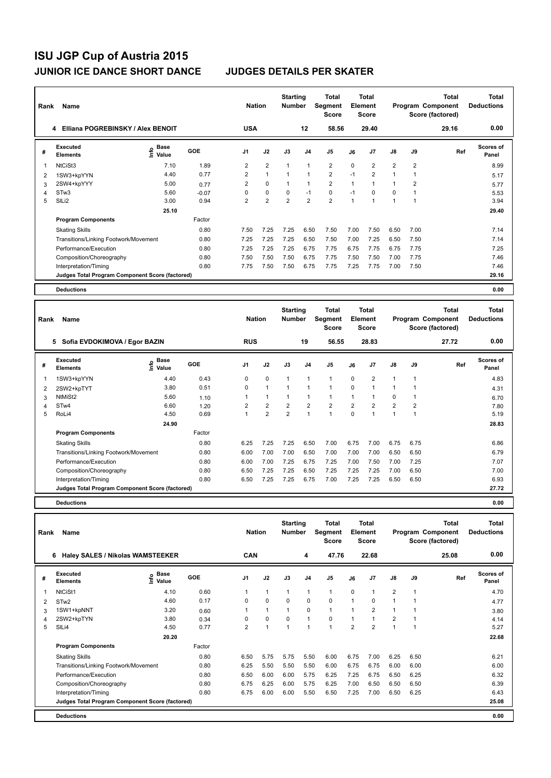| Rank           | <b>Name</b>                                     |                                    |         | <b>Nation</b>  |                | <b>Starting</b><br><b>Number</b> |                | Total<br>Segment<br><b>Score</b> |                | Total<br>Element<br><b>Score</b> |                |                | Total<br>Program Component<br>Score (factored) | Total<br><b>Deductions</b> |
|----------------|-------------------------------------------------|------------------------------------|---------|----------------|----------------|----------------------------------|----------------|----------------------------------|----------------|----------------------------------|----------------|----------------|------------------------------------------------|----------------------------|
|                | Elliana POGREBINSKY / Alex BENOIT<br>4          |                                    |         | <b>USA</b>     |                |                                  | 12             | 58.56                            |                | 29.40                            |                |                | 29.16                                          | 0.00                       |
| #              | Executed<br><b>Elements</b>                     | <b>Base</b><br>$\frac{6}{5}$ Value | GOE     | J <sub>1</sub> | J2             | J3                               | J <sub>4</sub> | J <sub>5</sub>                   | J6             | J <sub>7</sub>                   | $\mathsf{J}8$  | J9             | Ref                                            | Scores of<br>Panel         |
| -1             | NtCiSt3                                         | 7.10                               | 1.89    | $\overline{2}$ | $\overline{2}$ | 1                                | $\mathbf{1}$   | $\overline{2}$                   | $\Omega$       | $\overline{2}$                   | $\overline{2}$ | $\overline{2}$ |                                                | 8.99                       |
| 2              | 1SW3+kpYYN                                      | 4.40                               | 0.77    | $\overline{2}$ | $\mathbf{1}$   |                                  | $\overline{1}$ | $\overline{2}$                   | $-1$           | $\overline{2}$                   | 1              |                |                                                | 5.17                       |
| 3              | 2SW4+kpYYY                                      | 5.00                               | 0.77    | $\overline{2}$ | $\Omega$       |                                  | $\mathbf{1}$   | $\overline{2}$                   | $\overline{1}$ |                                  |                | $\overline{2}$ |                                                | 5.77                       |
| $\overline{4}$ | STw <sub>3</sub>                                | 5.60                               | $-0.07$ | 0              | $\mathbf 0$    | $\mathbf 0$                      | $-1$           | $\mathbf 0$                      | $-1$           | 0                                | 0              |                |                                                | 5.53                       |
| 5              | SILi2                                           | 3.00                               | 0.94    | $\overline{2}$ | $\overline{2}$ | $\overline{2}$                   | $\overline{2}$ | $\overline{2}$                   | 1              | 1                                | 1              | 1              |                                                | 3.94                       |
|                |                                                 | 25.10                              |         |                |                |                                  |                |                                  |                |                                  |                |                |                                                | 29.40                      |
|                | <b>Program Components</b>                       |                                    | Factor  |                |                |                                  |                |                                  |                |                                  |                |                |                                                |                            |
|                | <b>Skating Skills</b>                           |                                    | 0.80    | 7.50           | 7.25           | 7.25                             | 6.50           | 7.50                             | 7.00           | 7.50                             | 6.50           | 7.00           |                                                | 7.14                       |
|                | Transitions/Linking Footwork/Movement           |                                    | 0.80    | 7.25           | 7.25           | 7.25                             | 6.50           | 7.50                             | 7.00           | 7.25                             | 6.50           | 7.50           |                                                | 7.14                       |
|                | Performance/Execution                           |                                    | 0.80    | 7.25           | 7.25           | 7.25                             | 6.75           | 7.75                             | 6.75           | 7.75                             | 6.75           | 7.75           |                                                | 7.25                       |
|                | Composition/Choreography                        |                                    | 0.80    | 7.50           | 7.50           | 7.50                             | 6.75           | 7.75                             | 7.50           | 7.50                             | 7.00           | 7.75           |                                                | 7.46                       |
|                | Interpretation/Timing                           |                                    | 0.80    | 7.75           | 7.50           | 7.50                             | 6.75           | 7.75                             | 7.25           | 7.75                             | 7.00           | 7.50           |                                                | 7.46                       |
|                | Judges Total Program Component Score (factored) |                                    |         |                |                |                                  |                |                                  |                |                                  |                |                |                                                | 29.16                      |
|                | <b>Deductions</b>                               |                                    |         |                |                |                                  |                |                                  |                |                                  |                |                |                                                | 0.00                       |

| Rank | <b>Name</b>                                     |                   |        | <b>Nation</b>  |                | <b>Starting</b><br><b>Number</b> |                | <b>Total</b><br>Segment<br><b>Score</b> |                | <b>Total</b><br>Element<br><b>Score</b> |                |      | <b>Total</b><br>Program Component<br>Score (factored) | <b>Total</b><br><b>Deductions</b> |
|------|-------------------------------------------------|-------------------|--------|----------------|----------------|----------------------------------|----------------|-----------------------------------------|----------------|-----------------------------------------|----------------|------|-------------------------------------------------------|-----------------------------------|
|      | 5<br>Sofia EVDOKIMOVA / Egor BAZIN              |                   |        | <b>RUS</b>     |                |                                  | 19             | 56.55                                   |                | 28.83                                   |                |      | 27.72                                                 | 0.00                              |
| #    | Executed<br><b>Elements</b>                     | e Base<br>⊆ Value | GOE    | J <sub>1</sub> | J2             | J3                               | J <sub>4</sub> | J <sub>5</sub>                          | J6             | J <sub>7</sub>                          | $\mathsf{J}8$  | J9   | Ref                                                   | <b>Scores of</b><br>Panel         |
| 1    | 1SW3+kpYYN                                      | 4.40              | 0.43   | 0              | $\mathbf 0$    | -1                               | -1             | $\overline{1}$                          | $\mathbf 0$    | $\overline{2}$                          | 1              | 1    |                                                       | 4.83                              |
| 2    | 2SW2+kpTYT                                      | 3.80              | 0.51   | $\Omega$       | $\mathbf{1}$   |                                  | 1              | $\overline{1}$                          | 0              |                                         | 1              |      |                                                       | 4.31                              |
| 3    | NtMiSt2                                         | 5.60              | 1.10   |                | 1              | 1                                | $\overline{1}$ | $\overline{1}$                          |                |                                         | 0              | 1    |                                                       | 6.70                              |
| 4    | STw4                                            | 6.60              | 1.20   | 2              | $\overline{2}$ | $\overline{2}$                   | $\overline{2}$ | $\overline{2}$                          | $\overline{2}$ | 2                                       | $\overline{2}$ | 2    |                                                       | 7.80                              |
| 5    | RoLi4                                           | 4.50              | 0.69   |                | $\overline{2}$ | $\overline{2}$                   | $\overline{1}$ | $\overline{1}$                          | $\Omega$       |                                         | -1             | 1    |                                                       | 5.19                              |
|      |                                                 | 24.90             |        |                |                |                                  |                |                                         |                |                                         |                |      |                                                       | 28.83                             |
|      | <b>Program Components</b>                       |                   | Factor |                |                |                                  |                |                                         |                |                                         |                |      |                                                       |                                   |
|      | <b>Skating Skills</b>                           |                   | 0.80   | 6.25           | 7.25           | 7.25                             | 6.50           | 7.00                                    | 6.75           | 7.00                                    | 6.75           | 6.75 |                                                       | 6.86                              |
|      | Transitions/Linking Footwork/Movement           |                   | 0.80   | 6.00           | 7.00           | 7.00                             | 6.50           | 7.00                                    | 7.00           | 7.00                                    | 6.50           | 6.50 |                                                       | 6.79                              |
|      | Performance/Execution                           |                   | 0.80   | 6.00           | 7.00           | 7.25                             | 6.75           | 7.25                                    | 7.00           | 7.50                                    | 7.00           | 7.25 |                                                       | 7.07                              |
|      | Composition/Choreography                        |                   | 0.80   | 6.50           | 7.25           | 7.25                             | 6.50           | 7.25                                    | 7.25           | 7.25                                    | 7.00           | 6.50 |                                                       | 7.00                              |
|      | Interpretation/Timing                           |                   | 0.80   | 6.50           | 7.25           | 7.25                             | 6.75           | 7.00                                    | 7.25           | 7.25                                    | 6.50           | 6.50 |                                                       | 6.93                              |
|      | Judges Total Program Component Score (factored) |                   |        |                |                |                                  |                |                                         |                |                                         |                |      |                                                       | 27.72                             |
|      | <b>Deductions</b>                               |                   |        |                |                |                                  |                |                                         |                |                                         |                |      |                                                       | 0.00                              |

| Rank | Name                                            |                              |            | <b>Nation</b>  |                | <b>Starting</b><br><b>Number</b> |                | <b>Total</b><br><b>Segment</b><br><b>Score</b> |                | <b>Total</b><br><b>Element</b><br><b>Score</b> |                |                | <b>Total</b><br>Program Component<br>Score (factored) | <b>Total</b><br><b>Deductions</b> |
|------|-------------------------------------------------|------------------------------|------------|----------------|----------------|----------------------------------|----------------|------------------------------------------------|----------------|------------------------------------------------|----------------|----------------|-------------------------------------------------------|-----------------------------------|
|      | 6 Haley SALES / Nikolas WAMSTEEKER              |                              |            | <b>CAN</b>     |                |                                  | 4              | 47.76                                          |                | 22.68                                          |                |                | 25.08                                                 | 0.00                              |
| #    | <b>Executed</b><br><b>Elements</b>              | <b>Base</b><br>١nf٥<br>Value | <b>GOE</b> | J <sub>1</sub> | J2             | J3                               | J <sub>4</sub> | J <sub>5</sub>                                 | J6             | J <sub>7</sub>                                 | $\mathsf{J}8$  | J9             | Ref                                                   | Scores of<br>Panel                |
|      | NtCiSt1                                         | 4.10                         | 0.60       |                | $\mathbf{1}$   | 1                                | 1              | $\mathbf{1}$                                   | $\Omega$       |                                                | $\overline{2}$ | $\overline{1}$ |                                                       | 4.70                              |
| 2    | STw <sub>2</sub>                                | 4.60                         | 0.17       | 0              | 0              | 0                                | 0              | $\mathbf 0$                                    | 1              | 0                                              | 1              |                |                                                       | 4.77                              |
| 3    | 1SW1+kpNNT                                      | 3.20                         | 0.60       | 1              | 1              | 1                                | $\mathbf 0$    | $\mathbf{1}$                                   |                | $\overline{2}$                                 | $\mathbf{1}$   |                |                                                       | 3.80                              |
| 4    | 2SW2+kpTYN                                      | 3.80                         | 0.34       | $\Omega$       | $\Omega$       | $\Omega$                         | $\overline{1}$ | $\Omega$                                       | $\overline{1}$ |                                                | $\overline{2}$ |                |                                                       | 4.14                              |
| 5    | SILi4                                           | 4.50                         | 0.77       | $\overline{2}$ | $\overline{1}$ | $\overline{1}$                   | $\overline{1}$ | $\overline{1}$                                 | $\overline{2}$ | $\overline{2}$                                 | $\overline{1}$ | $\overline{ }$ |                                                       | 5.27                              |
|      |                                                 | 20.20                        |            |                |                |                                  |                |                                                |                |                                                |                |                |                                                       | 22.68                             |
|      | <b>Program Components</b>                       |                              | Factor     |                |                |                                  |                |                                                |                |                                                |                |                |                                                       |                                   |
|      | <b>Skating Skills</b>                           |                              | 0.80       | 6.50           | 5.75           | 5.75                             | 5.50           | 6.00                                           | 6.75           | 7.00                                           | 6.25           | 6.50           |                                                       | 6.21                              |
|      | Transitions/Linking Footwork/Movement           |                              | 0.80       | 6.25           | 5.50           | 5.50                             | 5.50           | 6.00                                           | 6.75           | 6.75                                           | 6.00           | 6.00           |                                                       | 6.00                              |
|      | Performance/Execution                           |                              | 0.80       | 6.50           | 6.00           | 6.00                             | 5.75           | 6.25                                           | 7.25           | 6.75                                           | 6.50           | 6.25           |                                                       | 6.32                              |
|      | Composition/Choreography                        |                              | 0.80       | 6.75           | 6.25           | 6.00                             | 5.75           | 6.25                                           | 7.00           | 6.50                                           | 6.50           | 6.50           |                                                       | 6.39                              |
|      | Interpretation/Timing                           |                              | 0.80       | 6.75           | 6.00           | 6.00                             | 5.50           | 6.50                                           | 7.25           | 7.00                                           | 6.50           | 6.25           |                                                       | 6.43                              |
|      | Judges Total Program Component Score (factored) |                              |            |                |                |                                  |                |                                                |                |                                                |                |                |                                                       | 25.08                             |
|      | <b>Deductions</b>                               |                              |            |                |                |                                  |                |                                                |                |                                                |                |                |                                                       | 0.00                              |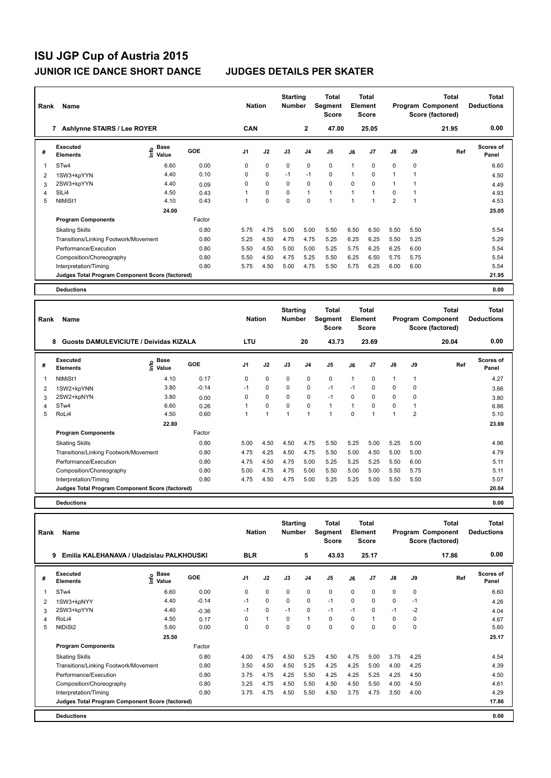| Rank                    | <b>Name</b>                                     |                              |        | <b>Nation</b>  |             | <b>Starting</b><br><b>Number</b> |                | <b>Total</b><br>Segment<br><b>Score</b> |                | <b>Total</b><br>Element<br><b>Score</b> |                      |      | <b>Total</b><br>Program Component<br>Score (factored) | <b>Total</b><br><b>Deductions</b> |
|-------------------------|-------------------------------------------------|------------------------------|--------|----------------|-------------|----------------------------------|----------------|-----------------------------------------|----------------|-----------------------------------------|----------------------|------|-------------------------------------------------------|-----------------------------------|
|                         | <b>Ashlynne STAIRS / Lee ROYER</b><br>7         |                              |        | <b>CAN</b>     |             |                                  | $\overline{2}$ | 47.00                                   |                | 25.05                                   |                      |      | 21.95                                                 | 0.00                              |
| #                       | Executed<br><b>Elements</b>                     | <b>Base</b><br>lnfo<br>Value | GOE    | J <sub>1</sub> | J2          | J3                               | J <sub>4</sub> | J <sub>5</sub>                          | J6             | J7                                      | $\mathsf{J}8$        | J9   | Ref                                                   | <b>Scores of</b><br>Panel         |
| $\overline{\mathbf{1}}$ | STw4                                            | 6.60                         | 0.00   | 0              | 0           | 0                                | 0              | $\mathbf 0$                             | 1              | $\Omega$                                | 0                    | 0    |                                                       | 6.60                              |
| $\overline{2}$          | 1SW3+kpYYN                                      | 4.40                         | 0.10   | 0              | $\mathbf 0$ | $-1$                             | $-1$           | $\mathbf 0$                             | 1              | $\Omega$                                | $\blacktriangleleft$ |      |                                                       | 4.50                              |
| 3                       | 2SW3+kpYYN                                      | 4.40                         | 0.09   | 0              | $\mathbf 0$ | 0                                | 0              | $\mathbf 0$                             | $\Omega$       | $\Omega$                                | 1                    |      |                                                       | 4.49                              |
| $\overline{4}$          | SILi4                                           | 4.50                         | 0.43   |                | $\mathbf 0$ | $\mathbf 0$                      | $\mathbf{1}$   | $\mathbf{1}$                            | 1              | 1                                       | $\mathbf 0$          |      |                                                       | 4.93                              |
| 5                       | NtMiSt1                                         | 4.10                         | 0.43   |                | $\mathbf 0$ | $\mathbf 0$                      | $\mathbf 0$    | $\blacktriangleleft$                    | $\overline{1}$ | 1                                       | $\overline{2}$       |      |                                                       | 4.53                              |
|                         |                                                 | 24.00                        |        |                |             |                                  |                |                                         |                |                                         |                      |      |                                                       | 25.05                             |
|                         | <b>Program Components</b>                       |                              | Factor |                |             |                                  |                |                                         |                |                                         |                      |      |                                                       |                                   |
|                         | <b>Skating Skills</b>                           |                              | 0.80   | 5.75           | 4.75        | 5.00                             | 5.00           | 5.50                                    | 6.50           | 6.50                                    | 5.50                 | 5.50 |                                                       | 5.54                              |
|                         | Transitions/Linking Footwork/Movement           |                              | 0.80   | 5.25           | 4.50        | 4.75                             | 4.75           | 5.25                                    | 6.25           | 6.25                                    | 5.50                 | 5.25 |                                                       | 5.29                              |
|                         | Performance/Execution                           |                              | 0.80   | 5.50           | 4.50        | 5.00                             | 5.00           | 5.25                                    | 5.75           | 6.25                                    | 6.25                 | 6.00 |                                                       | 5.54                              |
|                         | Composition/Choreography                        |                              | 0.80   | 5.50           | 4.50        | 4.75                             | 5.25           | 5.50                                    | 6.25           | 6.50                                    | 5.75                 | 5.75 |                                                       | 5.54                              |
|                         | Interpretation/Timing                           |                              | 0.80   | 5.75           | 4.50        | 5.00                             | 4.75           | 5.50                                    | 5.75           | 6.25                                    | 6.00                 | 6.00 |                                                       | 5.54                              |
|                         | Judges Total Program Component Score (factored) |                              |        |                |             |                                  |                |                                         |                |                                         |                      |      |                                                       | 21.95                             |
|                         | <b>Deductions</b>                               |                              |        |                |             |                                  |                |                                         |                |                                         |                      |      |                                                       | 0.00                              |

| Rank | Name                                            |                        |         | <b>Nation</b>  |                | <b>Starting</b><br><b>Number</b> |                | <b>Total</b><br>Segment<br>Score |                | Total<br>Element<br><b>Score</b> |                |                | <b>Total</b><br>Program Component<br>Score (factored) | <b>Total</b><br><b>Deductions</b> |
|------|-------------------------------------------------|------------------------|---------|----------------|----------------|----------------------------------|----------------|----------------------------------|----------------|----------------------------------|----------------|----------------|-------------------------------------------------------|-----------------------------------|
|      | Guoste DAMULEVICIUTE / Deividas KIZALA<br>8     |                        |         | <b>LTU</b>     |                |                                  | 20             | 43.73                            |                | 23.69                            |                |                | 20.04                                                 | 0.00                              |
| #    | Executed<br><b>Elements</b>                     | $\sum_{i=1}^{6}$ Value | GOE     | J <sub>1</sub> | J2             | J3                               | J <sub>4</sub> | J <sub>5</sub>                   | J6             | J <sub>7</sub>                   | $\mathsf{J}8$  | J9             | Ref                                                   | <b>Scores of</b><br>Panel         |
| 1    | NtMiSt1                                         | 4.10                   | 0.17    | 0              | $\mathbf 0$    | 0                                | $\mathbf 0$    | $\mathbf 0$                      | -1             | 0                                | $\overline{1}$ | 1              |                                                       | 4.27                              |
| 2    | 1SW2+kpYNN                                      | 3.80                   | $-0.14$ | $-1$           | 0              | 0                                | 0              | $-1$                             | $-1$           | 0                                | 0              | 0              |                                                       | 3.66                              |
| 3    | 2SW2+kpNYN                                      | 3.80                   | 0.00    | $\Omega$       | $\mathbf 0$    | $\Omega$                         | $\mathbf 0$    | $-1$                             | $\Omega$       | $\Omega$                         | $\mathbf 0$    | 0              |                                                       | 3.80                              |
| 4    | ST <sub>w</sub> 4                               | 6.60                   | 0.26    |                | $\mathbf 0$    | 0                                | $\Omega$       | $\mathbf{1}$                     | $\overline{1}$ | $\Omega$                         | $\mathbf 0$    | 1              |                                                       | 6.86                              |
| 5    | RoLi4                                           | 4.50                   | 0.60    |                | $\overline{1}$ | 1                                | $\overline{1}$ | -1                               | $\Omega$       |                                  | -1             | $\overline{2}$ |                                                       | 5.10                              |
|      |                                                 | 22.80                  |         |                |                |                                  |                |                                  |                |                                  |                |                |                                                       | 23.69                             |
|      | <b>Program Components</b>                       |                        | Factor  |                |                |                                  |                |                                  |                |                                  |                |                |                                                       |                                   |
|      | <b>Skating Skills</b>                           |                        | 0.80    | 5.00           | 4.50           | 4.50                             | 4.75           | 5.50                             | 5.25           | 5.00                             | 5.25           | 5.00           |                                                       | 4.96                              |
|      | Transitions/Linking Footwork/Movement           |                        | 0.80    | 4.75           | 4.25           | 4.50                             | 4.75           | 5.50                             | 5.00           | 4.50                             | 5.00           | 5.00           |                                                       | 4.79                              |
|      | Performance/Execution                           |                        | 0.80    | 4.75           | 4.50           | 4.75                             | 5.00           | 5.25                             | 5.25           | 5.25                             | 5.50           | 6.00           |                                                       | 5.11                              |
|      | Composition/Choreography                        |                        | 0.80    | 5.00           | 4.75           | 4.75                             | 5.00           | 5.50                             | 5.00           | 5.00                             | 5.50           | 5.75           |                                                       | 5.11                              |
|      | Interpretation/Timing                           |                        | 0.80    | 4.75           | 4.50           | 4.75                             | 5.00           | 5.25                             | 5.25           | 5.00                             | 5.50           | 5.50           |                                                       | 5.07                              |
|      | Judges Total Program Component Score (factored) |                        |         |                |                |                                  |                |                                  |                |                                  |                |                |                                                       | 20.04                             |
|      | <b>Deductions</b>                               |                        |         |                |                |                                  |                |                                  |                |                                  |                |                |                                                       | 0.00                              |

| Rank | Name                                            |                               |            | <b>Nation</b>  |              | <b>Starting</b><br><b>Number</b> |                | <b>Total</b><br>Segment<br><b>Score</b> |          | <b>Total</b><br><b>Element</b><br><b>Score</b> |             |          | <b>Total</b><br>Program Component<br>Score (factored) | <b>Total</b><br><b>Deductions</b> |
|------|-------------------------------------------------|-------------------------------|------------|----------------|--------------|----------------------------------|----------------|-----------------------------------------|----------|------------------------------------------------|-------------|----------|-------------------------------------------------------|-----------------------------------|
|      | 9<br>Emilia KALEHANAVA / Uladzislau PALKHOUSKI  |                               |            | <b>BLR</b>     |              |                                  | 5              | 43.03                                   |          | 25.17                                          |             |          | 17.86                                                 | 0.00                              |
| #    | <b>Executed</b><br><b>Elements</b>              | <b>Base</b><br>Linfo<br>Value | <b>GOE</b> | J <sub>1</sub> | J2           | J3                               | J <sub>4</sub> | J <sub>5</sub>                          | J6       | J <sub>7</sub>                                 | J8          | J9       | Ref                                                   | Scores of<br>Panel                |
| 1    | ST <sub>w</sub> 4                               | 6.60                          | 0.00       | 0              | $\mathbf 0$  | $\Omega$                         | $\mathbf 0$    | $\mathbf 0$                             | $\Omega$ | 0                                              | $\mathbf 0$ | 0        |                                                       | 6.60                              |
| 2    | 1SW3+kpNYY                                      | 4.40                          | $-0.14$    | $-1$           | 0            | 0                                | 0              | $-1$                                    | 0        | 0                                              | $\mathbf 0$ | $-1$     |                                                       | 4.26                              |
| 3    | 2SW3+kpYYN                                      | 4.40                          | $-0.36$    | $-1$           | $\mathbf 0$  | $-1$                             | 0              | $-1$                                    | $-1$     | 0                                              | $-1$        | $-2$     |                                                       | 4.04                              |
| 4    | RoLi4                                           | 4.50                          | 0.17       | $\Omega$       | $\mathbf{1}$ | $\Omega$                         | 1              | $\Omega$                                | $\Omega$ |                                                | $\Omega$    | $\Omega$ |                                                       | 4.67                              |
| 5    | NtDiSt2                                         | 5.60                          | 0.00       | $\Omega$       | $\Omega$     | $\Omega$                         | $\Omega$       | $\Omega$                                | $\Omega$ | $\Omega$                                       | $\Omega$    | $\Omega$ |                                                       | 5.60                              |
|      |                                                 | 25.50                         |            |                |              |                                  |                |                                         |          |                                                |             |          |                                                       | 25.17                             |
|      | <b>Program Components</b>                       |                               | Factor     |                |              |                                  |                |                                         |          |                                                |             |          |                                                       |                                   |
|      | <b>Skating Skills</b>                           |                               | 0.80       | 4.00           | 4.75         | 4.50                             | 5.25           | 4.50                                    | 4.75     | 5.00                                           | 3.75        | 4.25     |                                                       | 4.54                              |
|      | Transitions/Linking Footwork/Movement           |                               | 0.80       | 3.50           | 4.50         | 4.50                             | 5.25           | 4.25                                    | 4.25     | 5.00                                           | 4.00        | 4.25     |                                                       | 4.39                              |
|      | Performance/Execution                           |                               | 0.80       | 3.75           | 4.75         | 4.25                             | 5.50           | 4.25                                    | 4.25     | 5.25                                           | 4.25        | 4.50     |                                                       | 4.50                              |
|      | Composition/Choreography                        |                               | 0.80       | 3.25           | 4.75         | 4.50                             | 5.50           | 4.50                                    | 4.50     | 5.50                                           | 4.00        | 4.50     |                                                       | 4.61                              |
|      | Interpretation/Timing                           |                               | 0.80       | 3.75           | 4.75         | 4.50                             | 5.50           | 4.50                                    | 3.75     | 4.75                                           | 3.50        | 4.00     |                                                       | 4.29                              |
|      | Judges Total Program Component Score (factored) |                               |            |                |              |                                  |                |                                         |          |                                                |             |          |                                                       | 17.86                             |
|      | <b>Deductions</b>                               |                               |            |                |              |                                  |                |                                         |          |                                                |             |          |                                                       | 0.00                              |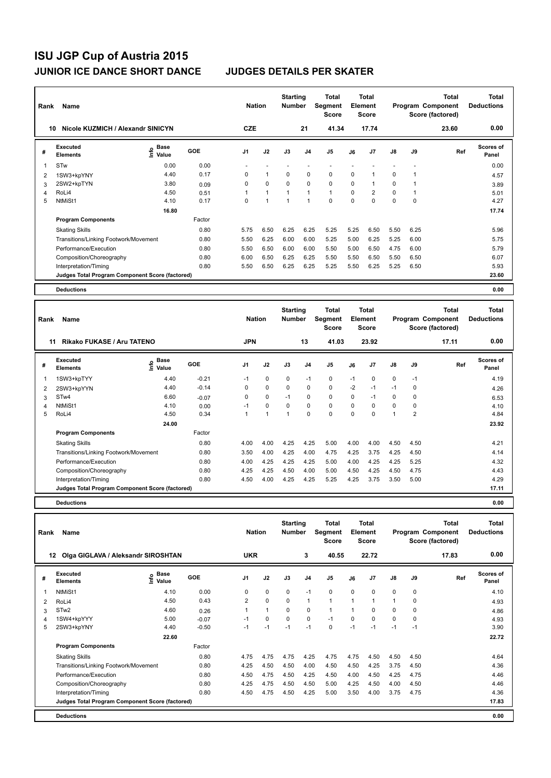| Rank | Name                                            |                                    |        | <b>Nation</b>  |                | <b>Starting</b><br><b>Number</b> |                | Total<br>Segment<br><b>Score</b> |          | <b>Total</b><br>Element<br><b>Score</b> |               |          | Total<br>Program Component<br>Score (factored) | <b>Total</b><br><b>Deductions</b> |
|------|-------------------------------------------------|------------------------------------|--------|----------------|----------------|----------------------------------|----------------|----------------------------------|----------|-----------------------------------------|---------------|----------|------------------------------------------------|-----------------------------------|
|      | Nicole KUZMICH / Alexandr SINICYN<br>10         |                                    |        | <b>CZE</b>     |                |                                  | 21             | 41.34                            |          | 17.74                                   |               |          | 23.60                                          | 0.00                              |
| #    | Executed<br><b>Elements</b>                     | <b>Base</b><br>$\frac{6}{5}$ Value | GOE    | J <sub>1</sub> | J2             | J3                               | J <sub>4</sub> | J5                               | J6       | J <sub>7</sub>                          | $\mathsf{J}8$ | J9       | Ref                                            | <b>Scores of</b><br>Panel         |
| 1    | STw                                             | 0.00                               | 0.00   |                |                |                                  |                |                                  |          |                                         |               |          |                                                | 0.00                              |
| 2    | 1SW3+kpYNY                                      | 4.40                               | 0.17   | 0              | 1              | 0                                | 0              | 0                                | 0        |                                         | 0             |          |                                                | 4.57                              |
| 3    | 2SW2+kpTYN                                      | 3.80                               | 0.09   | 0              | $\Omega$       | $\Omega$                         | $\mathbf 0$    | $\mathbf 0$                      | $\Omega$ |                                         | 0             |          |                                                | 3.89                              |
| 4    | RoLi4                                           | 4.50                               | 0.51   | 1              | $\overline{1}$ | $\overline{ }$                   | 1              | $\mathbf{1}$                     | $\Omega$ | 2                                       | 0             |          |                                                | 5.01                              |
| 5    | NtMiSt1                                         | 4.10                               | 0.17   | 0              | 4              | и                                | 1              | $\mathbf 0$                      | $\Omega$ | $\Omega$                                | $\Omega$      | $\Omega$ |                                                | 4.27                              |
|      |                                                 | 16.80                              |        |                |                |                                  |                |                                  |          |                                         |               |          |                                                | 17.74                             |
|      | <b>Program Components</b>                       |                                    | Factor |                |                |                                  |                |                                  |          |                                         |               |          |                                                |                                   |
|      | <b>Skating Skills</b>                           |                                    | 0.80   | 5.75           | 6.50           | 6.25                             | 6.25           | 5.25                             | 5.25     | 6.50                                    | 5.50          | 6.25     |                                                | 5.96                              |
|      | Transitions/Linking Footwork/Movement           |                                    | 0.80   | 5.50           | 6.25           | 6.00                             | 6.00           | 5.25                             | 5.00     | 6.25                                    | 5.25          | 6.00     |                                                | 5.75                              |
|      | Performance/Execution                           |                                    | 0.80   | 5.50           | 6.50           | 6.00                             | 6.00           | 5.50                             | 5.00     | 6.50                                    | 4.75          | 6.00     |                                                | 5.79                              |
|      | Composition/Choreography                        |                                    | 0.80   | 6.00           | 6.50           | 6.25                             | 6.25           | 5.50                             | 5.50     | 6.50                                    | 5.50          | 6.50     |                                                | 6.07                              |
|      | Interpretation/Timing                           |                                    | 0.80   | 5.50           | 6.50           | 6.25                             | 6.25           | 5.25                             | 5.50     | 6.25                                    | 5.25          | 6.50     |                                                | 5.93                              |
|      | Judges Total Program Component Score (factored) |                                    |        |                |                |                                  |                |                                  |          |                                         |               |          |                                                | 23.60                             |
|      | <b>Deductions</b>                               |                                    |        |                |                |                                  |                |                                  |          |                                         |               |          |                                                | 0.00                              |

| Rank | Name                                            |                         |         | <b>Nation</b>  |             | <b>Starting</b><br><b>Number</b> |                | Total<br>Segment<br><b>Score</b> |      | Total<br>Element<br><b>Score</b> |             |                | <b>Total</b><br>Program Component<br>Score (factored) | <b>Total</b><br><b>Deductions</b> |
|------|-------------------------------------------------|-------------------------|---------|----------------|-------------|----------------------------------|----------------|----------------------------------|------|----------------------------------|-------------|----------------|-------------------------------------------------------|-----------------------------------|
|      | Rikako FUKASE / Aru TATENO<br>11                |                         |         | <b>JPN</b>     |             |                                  | 13             | 41.03                            |      | 23.92                            |             |                | 17.11                                                 | 0.00                              |
| #    | Executed<br><b>Elements</b>                     | $rac{e}{\epsilon}$ Base | GOE     | J <sub>1</sub> | J2          | J3                               | J <sub>4</sub> | J <sub>5</sub>                   | J6   | J <sub>7</sub>                   | J8          | J9             | Ref                                                   | <b>Scores of</b><br>Panel         |
| 1    | 1SW3+kpTYY                                      | 4.40                    | $-0.21$ | $-1$           | 0           | $\Omega$                         | $-1$           | 0                                | $-1$ | $\Omega$                         | 0           | $-1$           |                                                       | 4.19                              |
| 2    | 2SW3+kpYYN                                      | 4.40                    | $-0.14$ | 0              | $\pmb{0}$   | 0                                | 0              | 0                                | $-2$ | $-1$                             | $-1$        | 0              |                                                       | 4.26                              |
| 3    | STw4                                            | 6.60                    | $-0.07$ | 0              | $\mathbf 0$ | $-1$                             | 0              | $\mathbf 0$                      | 0    | $-1$                             | 0           | 0              |                                                       | 6.53                              |
| 4    | NtMiSt1                                         | 4.10                    | 0.00    | $-1$           | $\mathbf 0$ | $\Omega$                         | $\mathbf 0$    | $\mathbf 0$                      | 0    | 0                                | $\mathbf 0$ | 0              |                                                       | 4.10                              |
| 5    | RoLi4                                           | 4.50                    | 0.34    |                | 1           | 1                                | 0              | $\mathbf 0$                      | 0    | $\Omega$                         | 1           | $\overline{2}$ |                                                       | 4.84                              |
|      |                                                 | 24.00                   |         |                |             |                                  |                |                                  |      |                                  |             |                |                                                       | 23.92                             |
|      | <b>Program Components</b>                       |                         | Factor  |                |             |                                  |                |                                  |      |                                  |             |                |                                                       |                                   |
|      | <b>Skating Skills</b>                           |                         | 0.80    | 4.00           | 4.00        | 4.25                             | 4.25           | 5.00                             | 4.00 | 4.00                             | 4.50        | 4.50           |                                                       | 4.21                              |
|      | Transitions/Linking Footwork/Movement           |                         | 0.80    | 3.50           | 4.00        | 4.25                             | 4.00           | 4.75                             | 4.25 | 3.75                             | 4.25        | 4.50           |                                                       | 4.14                              |
|      | Performance/Execution                           |                         | 0.80    | 4.00           | 4.25        | 4.25                             | 4.25           | 5.00                             | 4.00 | 4.25                             | 4.25        | 5.25           |                                                       | 4.32                              |
|      | Composition/Choreography                        |                         | 0.80    | 4.25           | 4.25        | 4.50                             | 4.00           | 5.00                             | 4.50 | 4.25                             | 4.50        | 4.75           |                                                       | 4.43                              |
|      | Interpretation/Timing                           |                         | 0.80    | 4.50           | 4.00        | 4.25                             | 4.25           | 5.25                             | 4.25 | 3.75                             | 3.50        | 5.00           |                                                       | 4.29                              |
|      | Judges Total Program Component Score (factored) |                         |         |                |             |                                  |                |                                  |      |                                  |             |                |                                                       | 17.11                             |
|      | <b>Deductions</b>                               |                         |         |                |             |                                  |                |                                  |      |                                  |             |                |                                                       | 0.00                              |

| Rank | <b>Name</b>                                     |                       |         | <b>Nation</b>  |              | <b>Starting</b><br><b>Number</b> |                | <b>Total</b><br><b>Segment</b><br><b>Score</b> |             | <b>Total</b><br>Element<br><b>Score</b> |                      |          | <b>Total</b><br>Program Component<br>Score (factored) | <b>Total</b><br><b>Deductions</b> |
|------|-------------------------------------------------|-----------------------|---------|----------------|--------------|----------------------------------|----------------|------------------------------------------------|-------------|-----------------------------------------|----------------------|----------|-------------------------------------------------------|-----------------------------------|
| 12   | Olga GIGLAVA / Aleksandr SIROSHTAN              |                       |         | <b>UKR</b>     |              |                                  | 3              | 40.55                                          |             | 22.72                                   |                      |          | 17.83                                                 | 0.00                              |
| #    | Executed<br><b>Elements</b>                     | Base<br>١nf٥<br>Value | GOE     | J1             | J2           | J3                               | J <sub>4</sub> | J <sub>5</sub>                                 | J6          | J <sub>7</sub>                          | $\mathsf{J}8$        | J9       | Ref                                                   | Scores of<br>Panel                |
| 1    | NtMiSt1                                         | 4.10                  | 0.00    | 0              | $\mathbf 0$  | $\mathbf 0$                      | $-1$           | $\mathbf 0$                                    | $\Omega$    | $\Omega$                                | $\mathbf 0$          | 0        |                                                       | 4.10                              |
| 2    | RoLi4                                           | 4.50                  | 0.43    | $\overline{2}$ | $\mathbf 0$  | 0                                | $\mathbf{1}$   | $\mathbf{1}$                                   | $\mathbf 1$ | 1                                       | $\blacktriangleleft$ | 0        |                                                       | 4.93                              |
| 3    | STw <sub>2</sub>                                | 4.60                  | 0.26    |                | $\mathbf{1}$ | $\Omega$                         | 0              | $\mathbf{1}$                                   |             | $\Omega$                                | $\Omega$             | $\Omega$ |                                                       | 4.86                              |
| 4    | 1SW4+kpYYY                                      | 5.00                  | $-0.07$ | $-1$           | 0            | $\mathbf 0$                      | $\mathbf 0$    | $-1$                                           | $\Omega$    | $\Omega$                                | 0                    | 0        |                                                       | 4.93                              |
| 5    | 2SW3+kpYNY                                      | 4.40                  | $-0.50$ | $-1$           | $-1$         | $-1$                             | $-1$           | $\Omega$                                       | $-1$        | $-1$                                    | $-1$                 | $-1$     |                                                       | 3.90                              |
|      |                                                 | 22.60                 |         |                |              |                                  |                |                                                |             |                                         |                      |          |                                                       | 22.72                             |
|      | <b>Program Components</b>                       |                       | Factor  |                |              |                                  |                |                                                |             |                                         |                      |          |                                                       |                                   |
|      | <b>Skating Skills</b>                           |                       | 0.80    | 4.75           | 4.75         | 4.75                             | 4.25           | 4.75                                           | 4.75        | 4.50                                    | 4.50                 | 4.50     |                                                       | 4.64                              |
|      | Transitions/Linking Footwork/Movement           |                       | 0.80    | 4.25           | 4.50         | 4.50                             | 4.00           | 4.50                                           | 4.50        | 4.25                                    | 3.75                 | 4.50     |                                                       | 4.36                              |
|      | Performance/Execution                           |                       | 0.80    | 4.50           | 4.75         | 4.50                             | 4.25           | 4.50                                           | 4.00        | 4.50                                    | 4.25                 | 4.75     |                                                       | 4.46                              |
|      | Composition/Choreography                        |                       | 0.80    | 4.25           | 4.75         | 4.50                             | 4.50           | 5.00                                           | 4.25        | 4.50                                    | 4.00                 | 4.50     |                                                       | 4.46                              |
|      | Interpretation/Timing                           |                       | 0.80    | 4.50           | 4.75         | 4.50                             | 4.25           | 5.00                                           | 3.50        | 4.00                                    | 3.75                 | 4.75     |                                                       | 4.36                              |
|      | Judges Total Program Component Score (factored) |                       |         |                |              |                                  |                |                                                |             |                                         |                      |          |                                                       | 17.83                             |
|      | <b>Deductions</b>                               |                       |         |                |              |                                  |                |                                                |             |                                         |                      |          |                                                       | 0.00                              |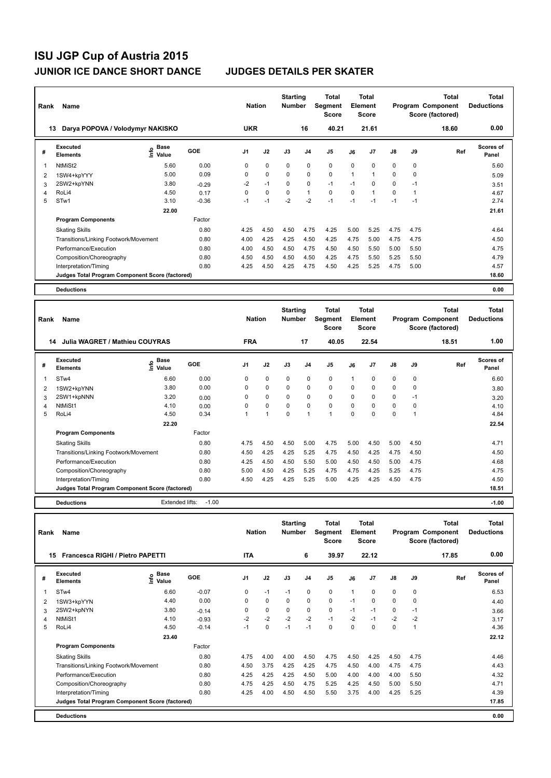| Rank | <b>Name</b>                                     |                                    |         | <b>Nation</b>  |             | <b>Starting</b><br><b>Number</b> |                | Total<br>Segment<br><b>Score</b> |                | <b>Total</b><br>Element<br><b>Score</b> |               |             | <b>Total</b><br>Program Component<br>Score (factored) | <b>Total</b><br><b>Deductions</b> |
|------|-------------------------------------------------|------------------------------------|---------|----------------|-------------|----------------------------------|----------------|----------------------------------|----------------|-----------------------------------------|---------------|-------------|-------------------------------------------------------|-----------------------------------|
| 13   | Darya POPOVA / Volodymyr NAKISKO                |                                    |         | <b>UKR</b>     |             |                                  | 16             | 40.21                            |                | 21.61                                   |               |             | 18.60                                                 | 0.00                              |
| #    | Executed<br><b>Elements</b>                     | <b>Base</b><br>$\frac{6}{5}$ Value | GOE     | J <sub>1</sub> | J2          | J3                               | J <sub>4</sub> | J5                               | J6             | J7                                      | $\mathsf{J}8$ | J9          | Ref                                                   | <b>Scores of</b><br>Panel         |
| -1   | NtMiSt2                                         | 5.60                               | 0.00    | 0              | $\mathbf 0$ | 0                                | $\mathbf 0$    | $\mathbf 0$                      | $\Omega$       | $\Omega$                                | $\mathbf 0$   | $\mathbf 0$ |                                                       | 5.60                              |
| 2    | 1SW4+kpYYY                                      | 5.00                               | 0.09    | 0              | $\mathbf 0$ | $\Omega$                         | $\mathbf 0$    | $\mathbf 0$                      | $\overline{1}$ | 1                                       | $\Omega$      | $\Omega$    |                                                       | 5.09                              |
| 3    | 2SW2+kpYNN                                      | 3.80                               | $-0.29$ | $-2$           | $-1$        | $\Omega$                         | 0              | $-1$                             | $-1$           | 0                                       | 0             | $-1$        |                                                       | 3.51                              |
| 4    | RoLi4                                           | 4.50                               | 0.17    | 0              | $\mathbf 0$ | 0                                | $\mathbf{1}$   | $\mathbf 0$                      | $\Omega$       | 1                                       | 0             | 1           |                                                       | 4.67                              |
| 5    | STw1                                            | 3.10                               | $-0.36$ | $-1$           | $-1$        | $-2$                             | $-2$           | $-1$                             | $-1$           | $-1$                                    | $-1$          | $-1$        |                                                       | 2.74                              |
|      |                                                 | 22.00                              |         |                |             |                                  |                |                                  |                |                                         |               |             |                                                       | 21.61                             |
|      | <b>Program Components</b>                       |                                    | Factor  |                |             |                                  |                |                                  |                |                                         |               |             |                                                       |                                   |
|      | <b>Skating Skills</b>                           |                                    | 0.80    | 4.25           | 4.50        | 4.50                             | 4.75           | 4.25                             | 5.00           | 5.25                                    | 4.75          | 4.75        |                                                       | 4.64                              |
|      | Transitions/Linking Footwork/Movement           |                                    | 0.80    | 4.00           | 4.25        | 4.25                             | 4.50           | 4.25                             | 4.75           | 5.00                                    | 4.75          | 4.75        |                                                       | 4.50                              |
|      | Performance/Execution                           |                                    | 0.80    | 4.00           | 4.50        | 4.50                             | 4.75           | 4.50                             | 4.50           | 5.50                                    | 5.00          | 5.50        |                                                       | 4.75                              |
|      | Composition/Choreography                        |                                    | 0.80    | 4.50           | 4.50        | 4.50                             | 4.50           | 4.25                             | 4.75           | 5.50                                    | 5.25          | 5.50        |                                                       | 4.79                              |
|      | Interpretation/Timing                           |                                    | 0.80    | 4.25           | 4.50        | 4.25                             | 4.75           | 4.50                             | 4.25           | 5.25                                    | 4.75          | 5.00        |                                                       | 4.57                              |
|      | Judges Total Program Component Score (factored) |                                    |         |                |             |                                  |                |                                  |                |                                         |               |             |                                                       | 18.60                             |
|      | <b>Deductions</b>                               |                                    |         |                |             |                                  |                |                                  |                |                                         |               |             |                                                       | 0.00                              |

| Rank | Name                                            |                            |         | <b>Nation</b>  |             | <b>Starting</b><br><b>Number</b> |                | <b>Total</b><br>Segment<br><b>Score</b> |          | Total<br>Element<br><b>Score</b> |             |      | <b>Total</b><br>Program Component<br>Score (factored) | <b>Total</b><br><b>Deductions</b> |
|------|-------------------------------------------------|----------------------------|---------|----------------|-------------|----------------------------------|----------------|-----------------------------------------|----------|----------------------------------|-------------|------|-------------------------------------------------------|-----------------------------------|
|      | Julia WAGRET / Mathieu COUYRAS<br>14            |                            |         | <b>FRA</b>     |             |                                  | 17             | 40.05                                   |          | 22.54                            |             |      | 18.51                                                 | 1.00                              |
| #    | Executed<br><b>Elements</b>                     | e Base<br>E Value<br>Value | GOE     | J <sub>1</sub> | J2          | J3                               | J <sub>4</sub> | J <sub>5</sub>                          | J6       | J <sub>7</sub>                   | J8          | J9   | Ref                                                   | <b>Scores of</b><br>Panel         |
| 1    | STw4                                            | 6.60                       | 0.00    | 0              | 0           | 0                                | 0              | 0                                       |          | 0                                | 0           | 0    |                                                       | 6.60                              |
| 2    | 1SW2+kpYNN                                      | 3.80                       | 0.00    | 0              | $\pmb{0}$   | 0                                | 0              | $\pmb{0}$                               | 0        | 0                                | 0           | 0    |                                                       | 3.80                              |
| 3    | 2SW1+kpNNN                                      | 3.20                       | 0.00    | 0              | $\mathbf 0$ | $\Omega$                         | $\mathbf 0$    | $\mathbf 0$                             | 0        | $\Omega$                         | $\mathbf 0$ | $-1$ |                                                       | 3.20                              |
| 4    | NtMiSt1                                         | 4.10                       | 0.00    | 0              | $\mathbf 0$ | $\mathbf 0$                      | $\mathbf 0$    | $\mathbf 0$                             | 0        | 0                                | $\mathbf 0$ | 0    |                                                       | 4.10                              |
| 5    | RoLi4                                           | 4.50                       | 0.34    |                | 1           | 0                                | 1              | $\overline{1}$                          | $\Omega$ | $\Omega$                         | $\mathbf 0$ | и    |                                                       | 4.84                              |
|      |                                                 | 22.20                      |         |                |             |                                  |                |                                         |          |                                  |             |      |                                                       | 22.54                             |
|      | <b>Program Components</b>                       |                            | Factor  |                |             |                                  |                |                                         |          |                                  |             |      |                                                       |                                   |
|      | <b>Skating Skills</b>                           |                            | 0.80    | 4.75           | 4.50        | 4.50                             | 5.00           | 4.75                                    | 5.00     | 4.50                             | 5.00        | 4.50 |                                                       | 4.71                              |
|      | Transitions/Linking Footwork/Movement           |                            | 0.80    | 4.50           | 4.25        | 4.25                             | 5.25           | 4.75                                    | 4.50     | 4.25                             | 4.75        | 4.50 |                                                       | 4.50                              |
|      | Performance/Execution                           |                            | 0.80    | 4.25           | 4.50        | 4.50                             | 5.50           | 5.00                                    | 4.50     | 4.50                             | 5.00        | 4.75 |                                                       | 4.68                              |
|      | Composition/Choreography                        |                            | 0.80    | 5.00           | 4.50        | 4.25                             | 5.25           | 4.75                                    | 4.75     | 4.25                             | 5.25        | 4.75 |                                                       | 4.75                              |
|      | Interpretation/Timing                           |                            | 0.80    | 4.50           | 4.25        | 4.25                             | 5.25           | 5.00                                    | 4.25     | 4.25                             | 4.50        | 4.75 |                                                       | 4.50                              |
|      | Judges Total Program Component Score (factored) |                            |         |                |             |                                  |                |                                         |          |                                  |             |      |                                                       | 18.51                             |
|      | <b>Deductions</b>                               | Extended lifts:            | $-1.00$ |                |             |                                  |                |                                         |          |                                  |             |      |                                                       | $-1.00$                           |

| Rank | Name                                            |                              |         | <b>Nation</b>  |             | <b>Starting</b><br><b>Number</b> |                | <b>Total</b><br>Segment<br><b>Score</b> |          | Total<br>Element<br><b>Score</b> |               |                | <b>Total</b><br>Program Component<br>Score (factored) | <b>Total</b><br><b>Deductions</b> |
|------|-------------------------------------------------|------------------------------|---------|----------------|-------------|----------------------------------|----------------|-----------------------------------------|----------|----------------------------------|---------------|----------------|-------------------------------------------------------|-----------------------------------|
| 15   | <b>Francesca RIGHI / Pietro PAPETTI</b>         |                              |         | <b>ITA</b>     |             |                                  | 6              | 39.97                                   |          | 22.12                            |               |                | 17.85                                                 | 0.00                              |
| #    | Executed<br><b>Elements</b>                     | <b>Base</b><br>١nf٥<br>Value | GOE     | J <sub>1</sub> | J2          | J3                               | J <sub>4</sub> | J <sub>5</sub>                          | J6       | J <sub>7</sub>                   | $\mathsf{J}8$ | J9             | Ref                                                   | Scores of<br>Panel                |
| 1    | ST <sub>w</sub> 4                               | 6.60                         | $-0.07$ | $\Omega$       | $-1$        | $-1$                             | 0              | $\mathbf 0$                             | 1        | $\Omega$                         | $\mathbf 0$   | 0              |                                                       | 6.53                              |
| 2    | 1SW3+kpYYN                                      | 4.40                         | 0.00    | 0              | $\mathbf 0$ | 0                                | 0              | $\mathbf 0$                             | $-1$     | $\Omega$                         | 0             | 0              |                                                       | 4.40                              |
| 3    | 2SW2+kpNYN                                      | 3.80                         | $-0.14$ | 0              | $\mathbf 0$ | 0                                | $\mathbf 0$    | $\mathbf 0$                             | $-1$     | $-1$                             | $\mathbf 0$   | $-1$           |                                                       | 3.66                              |
| 4    | NtMiSt1                                         | 4.10                         | $-0.93$ | $-2$           | $-2$        | $-2$                             | $-2$           | $-1$                                    | $-2$     | $-1$                             | $-2$          | $-2$           |                                                       | 3.17                              |
| 5    | RoLi4                                           | 4.50                         | $-0.14$ | $-1$           | $\mathbf 0$ | $-1$                             | $-1$           | $\mathbf 0$                             | $\Omega$ | $\Omega$                         | 0             | $\overline{1}$ |                                                       | 4.36                              |
|      |                                                 | 23.40                        |         |                |             |                                  |                |                                         |          |                                  |               |                |                                                       | 22.12                             |
|      | <b>Program Components</b>                       |                              | Factor  |                |             |                                  |                |                                         |          |                                  |               |                |                                                       |                                   |
|      | <b>Skating Skills</b>                           |                              | 0.80    | 4.75           | 4.00        | 4.00                             | 4.50           | 4.75                                    | 4.50     | 4.25                             | 4.50          | 4.75           |                                                       | 4.46                              |
|      | Transitions/Linking Footwork/Movement           |                              | 0.80    | 4.50           | 3.75        | 4.25                             | 4.25           | 4.75                                    | 4.50     | 4.00                             | 4.75          | 4.75           |                                                       | 4.43                              |
|      | Performance/Execution                           |                              | 0.80    | 4.25           | 4.25        | 4.25                             | 4.50           | 5.00                                    | 4.00     | 4.00                             | 4.00          | 5.50           |                                                       | 4.32                              |
|      | Composition/Choreography                        |                              | 0.80    | 4.75           | 4.25        | 4.50                             | 4.75           | 5.25                                    | 4.25     | 4.50                             | 5.00          | 5.50           |                                                       | 4.71                              |
|      | Interpretation/Timing                           |                              | 0.80    | 4.25           | 4.00        | 4.50                             | 4.50           | 5.50                                    | 3.75     | 4.00                             | 4.25          | 5.25           |                                                       | 4.39                              |
|      | Judges Total Program Component Score (factored) |                              |         |                |             |                                  |                |                                         |          |                                  |               |                |                                                       | 17.85                             |
|      | <b>Deductions</b>                               |                              |         |                |             |                                  |                |                                         |          |                                  |               |                |                                                       | 0.00                              |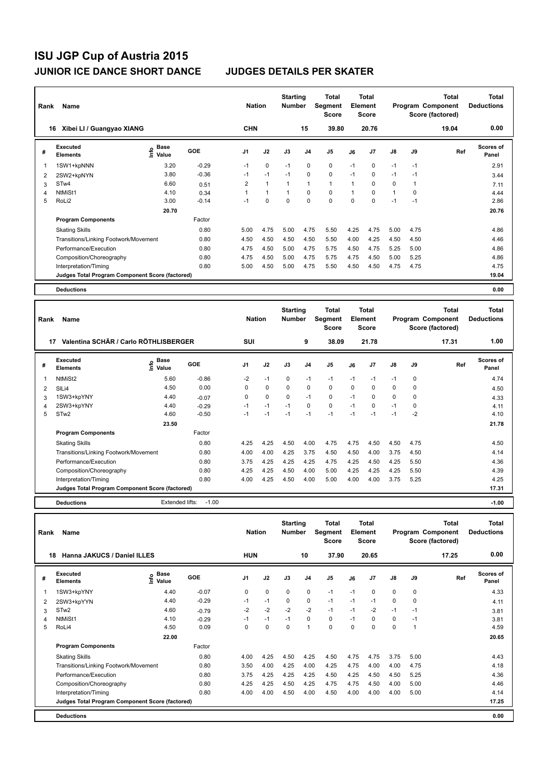| Rank | <b>Name</b>                                     |                                    |         | <b>Nation</b>  |              | <b>Starting</b><br><b>Number</b> |                | Total<br>Segment<br>Score |              | <b>Total</b><br>Element<br><b>Score</b> |               |      | <b>Total</b><br>Program Component<br>Score (factored) | <b>Total</b><br><b>Deductions</b> |
|------|-------------------------------------------------|------------------------------------|---------|----------------|--------------|----------------------------------|----------------|---------------------------|--------------|-----------------------------------------|---------------|------|-------------------------------------------------------|-----------------------------------|
| 16   | Xibei LI / Guangyao XIANG                       |                                    |         | <b>CHN</b>     |              |                                  | 15             | 39.80                     |              | 20.76                                   |               |      | 19.04                                                 | 0.00                              |
| #    | Executed<br><b>Elements</b>                     | <b>Base</b><br>$\frac{6}{5}$ Value | GOE     | J <sub>1</sub> | J2           | J3                               | J <sub>4</sub> | J <sub>5</sub>            | J6           | J7                                      | $\mathsf{J}8$ | J9   | Ref                                                   | Scores of<br>Panel                |
| -1   | 1SW1+kpNNN                                      | 3.20                               | $-0.29$ | $-1$           | $\mathbf 0$  | $-1$                             | $\mathbf 0$    | $\mathbf 0$               | $-1$         | 0                                       | $-1$          | $-1$ |                                                       | 2.91                              |
| 2    | 2SW2+kpNYN                                      | 3.80                               | $-0.36$ | $-1$           | $-1$         | $-1$                             | $\mathbf 0$    | $\mathbf 0$               | $-1$         | 0                                       | $-1$          | $-1$ |                                                       | 3.44                              |
| 3    | ST <sub>w</sub> 4                               | 6.60                               | 0.51    | 2              | $\mathbf{1}$ | $\mathbf{1}$                     | $\mathbf{1}$   | $\mathbf{1}$              | 1            | 0                                       | 0             | 1    |                                                       | 7.11                              |
| 4    | NtMiSt1                                         | 4.10                               | 0.34    | 1              | $\mathbf{1}$ | $\mathbf{1}$                     | $\mathbf 0$    | $\mathbf 0$               | $\mathbf{1}$ | 0                                       | $\mathbf 1$   | 0    |                                                       | 4.44                              |
| 5    | RoLi <sub>2</sub>                               | 3.00                               | $-0.14$ | $-1$           | $\mathbf 0$  | $\mathbf 0$                      | $\mathbf 0$    | $\mathbf 0$               | $\Omega$     | 0                                       | $-1$          | $-1$ |                                                       | 2.86                              |
|      |                                                 | 20.70                              |         |                |              |                                  |                |                           |              |                                         |               |      |                                                       | 20.76                             |
|      | <b>Program Components</b>                       |                                    | Factor  |                |              |                                  |                |                           |              |                                         |               |      |                                                       |                                   |
|      | <b>Skating Skills</b>                           |                                    | 0.80    | 5.00           | 4.75         | 5.00                             | 4.75           | 5.50                      | 4.25         | 4.75                                    | 5.00          | 4.75 |                                                       | 4.86                              |
|      | Transitions/Linking Footwork/Movement           |                                    | 0.80    | 4.50           | 4.50         | 4.50                             | 4.50           | 5.50                      | 4.00         | 4.25                                    | 4.50          | 4.50 |                                                       | 4.46                              |
|      | Performance/Execution                           |                                    | 0.80    | 4.75           | 4.50         | 5.00                             | 4.75           | 5.75                      | 4.50         | 4.75                                    | 5.25          | 5.00 |                                                       | 4.86                              |
|      | Composition/Choreography                        |                                    | 0.80    | 4.75           | 4.50         | 5.00                             | 4.75           | 5.75                      | 4.75         | 4.50                                    | 5.00          | 5.25 |                                                       | 4.86                              |
|      | Interpretation/Timing                           |                                    | 0.80    | 5.00           | 4.50         | 5.00                             | 4.75           | 5.50                      | 4.50         | 4.50                                    | 4.75          | 4.75 |                                                       | 4.75                              |
|      | Judges Total Program Component Score (factored) |                                    |         |                |              |                                  |                |                           |              |                                         |               |      |                                                       | 19.04                             |
|      | <b>Deductions</b>                               |                                    |         |                |              |                                  |                |                           |              |                                         |               |      |                                                       | 0.00                              |

| Rank | Name                                            |                       |         | <b>Nation</b>  |             | <b>Starting</b><br>Number |                | <b>Total</b><br>Segment<br><b>Score</b> |      | <b>Total</b><br>Element<br>Score |               |             | Total<br>Program Component<br>Score (factored) | <b>Total</b><br><b>Deductions</b> |
|------|-------------------------------------------------|-----------------------|---------|----------------|-------------|---------------------------|----------------|-----------------------------------------|------|----------------------------------|---------------|-------------|------------------------------------------------|-----------------------------------|
| 17   | Valentina SCHÄR / Carlo RÖTHLISBERGER           |                       |         | SUI            |             |                           | 9              | 38.09                                   |      | 21.78                            |               |             | 17.31                                          | 1.00                              |
| #    | Executed<br><b>Elements</b>                     | $\sum_{i=1}^{n}$ Pase | GOE     | J <sub>1</sub> | J2          | J3                        | J <sub>4</sub> | J5                                      | J6   | J <sub>7</sub>                   | $\mathsf{J}8$ | J9          | Ref                                            | <b>Scores of</b><br>Panel         |
|      | NtMiSt2                                         | 5.60                  | $-0.86$ | $-2$           | $-1$        | 0                         | $-1$           | $-1$                                    | $-1$ | $-1$                             | $-1$          | $\mathbf 0$ |                                                | 4.74                              |
| 2    | SILi4                                           | 4.50                  | 0.00    | $\Omega$       | $\mathbf 0$ | $\mathbf 0$               | $\mathbf 0$    | $\mathbf 0$                             | 0    | $\Omega$                         | $\mathbf 0$   | 0           |                                                | 4.50                              |
| 3    | 1SW3+kpYNY                                      | 4.40                  | $-0.07$ | 0              | 0           | 0                         | $-1$           | 0                                       | $-1$ | $\Omega$                         | 0             | 0           |                                                | 4.33                              |
| 4    | 2SW3+kpYNY                                      | 4.40                  | $-0.29$ | $-1$           | $-1$        | $-1$                      | $\mathbf 0$    | 0                                       | $-1$ | 0                                | $-1$          | 0           |                                                | 4.11                              |
| 5    | STw <sub>2</sub>                                | 4.60                  | $-0.50$ | $-1$           | $-1$        | $-1$                      | $-1$           | $-1$                                    | $-1$ | $-1$                             | $-1$          | $-2$        |                                                | 4.10                              |
|      |                                                 | 23.50                 |         |                |             |                           |                |                                         |      |                                  |               |             |                                                | 21.78                             |
|      | <b>Program Components</b>                       |                       | Factor  |                |             |                           |                |                                         |      |                                  |               |             |                                                |                                   |
|      | <b>Skating Skills</b>                           |                       | 0.80    | 4.25           | 4.25        | 4.50                      | 4.00           | 4.75                                    | 4.75 | 4.50                             | 4.50          | 4.75        |                                                | 4.50                              |
|      | Transitions/Linking Footwork/Movement           |                       | 0.80    | 4.00           | 4.00        | 4.25                      | 3.75           | 4.50                                    | 4.50 | 4.00                             | 3.75          | 4.50        |                                                | 4.14                              |
|      | Performance/Execution                           |                       | 0.80    | 3.75           | 4.25        | 4.25                      | 4.25           | 4.75                                    | 4.25 | 4.50                             | 4.25          | 5.50        |                                                | 4.36                              |
|      | Composition/Choreography                        |                       | 0.80    | 4.25           | 4.25        | 4.50                      | 4.00           | 5.00                                    | 4.25 | 4.25                             | 4.25          | 5.50        |                                                | 4.39                              |
|      | Interpretation/Timing                           |                       | 0.80    | 4.00           | 4.25        | 4.50                      | 4.00           | 5.00                                    | 4.00 | 4.00                             | 3.75          | 5.25        |                                                | 4.25                              |
|      | Judges Total Program Component Score (factored) |                       |         |                |             |                           |                |                                         |      |                                  |               |             |                                                | 17.31                             |
|      | <b>Deductions</b>                               | Extended lifts:       | $-1.00$ |                |             |                           |                |                                         |      |                                  |               |             |                                                | $-1.00$                           |

| Rank | Name                                            |                              |         | <b>Nation</b>  |      | <b>Starting</b><br><b>Number</b> |                | <b>Total</b><br>Segment<br><b>Score</b> |      | <b>Total</b><br>Element<br><b>Score</b> |             |      | <b>Total</b><br>Program Component<br>Score (factored) | <b>Total</b><br><b>Deductions</b> |
|------|-------------------------------------------------|------------------------------|---------|----------------|------|----------------------------------|----------------|-----------------------------------------|------|-----------------------------------------|-------------|------|-------------------------------------------------------|-----------------------------------|
| 18   | Hanna JAKUCS / Daniel ILLES                     |                              |         | <b>HUN</b>     |      |                                  | 10             | 37.90                                   |      | 20.65                                   |             |      | 17.25                                                 | 0.00                              |
| #    | <b>Executed</b><br><b>Elements</b>              | <b>Base</b><br>١nf٥<br>Value | GOE     | J <sub>1</sub> | J2   | J3                               | J <sub>4</sub> | J5                                      | J6   | J7                                      | J8          | J9   | Ref                                                   | <b>Scores of</b><br>Panel         |
|      | 1SW3+kpYNY                                      | 4.40                         | $-0.07$ | 0              | 0    | 0                                | 0              | $-1$                                    | $-1$ | 0                                       | 0           | 0    |                                                       | 4.33                              |
| 2    | 2SW3+kpYYN                                      | 4.40                         | $-0.29$ | $-1$           | $-1$ | 0                                | 0              | $-1$                                    | $-1$ | $-1$                                    | 0           | 0    |                                                       | 4.11                              |
| 3    | STw <sub>2</sub>                                | 4.60                         | $-0.79$ | $-2$           | $-2$ | $-2$                             | $-2$           | $-1$                                    | $-1$ | $-2$                                    | $-1$        | $-1$ |                                                       | 3.81                              |
| 4    | NtMiSt1                                         | 4.10                         | $-0.29$ | $-1$           | $-1$ | $-1$                             | $\mathbf 0$    | 0                                       | $-1$ | $\Omega$                                | 0           | $-1$ |                                                       | 3.81                              |
| 5    | RoLi4                                           | 4.50                         | 0.09    | 0              | 0    | 0                                | 1              | $\mathbf 0$                             | 0    | $\Omega$                                | $\mathbf 0$ | -1   |                                                       | 4.59                              |
|      |                                                 | 22.00                        |         |                |      |                                  |                |                                         |      |                                         |             |      |                                                       | 20.65                             |
|      | <b>Program Components</b>                       |                              | Factor  |                |      |                                  |                |                                         |      |                                         |             |      |                                                       |                                   |
|      | <b>Skating Skills</b>                           |                              | 0.80    | 4.00           | 4.25 | 4.50                             | 4.25           | 4.50                                    | 4.75 | 4.75                                    | 3.75        | 5.00 |                                                       | 4.43                              |
|      | Transitions/Linking Footwork/Movement           |                              | 0.80    | 3.50           | 4.00 | 4.25                             | 4.00           | 4.25                                    | 4.75 | 4.00                                    | 4.00        | 4.75 |                                                       | 4.18                              |
|      | Performance/Execution                           |                              | 0.80    | 3.75           | 4.25 | 4.25                             | 4.25           | 4.50                                    | 4.25 | 4.50                                    | 4.50        | 5.25 |                                                       | 4.36                              |
|      | Composition/Choreography                        |                              | 0.80    | 4.25           | 4.25 | 4.50                             | 4.25           | 4.75                                    | 4.75 | 4.50                                    | 4.00        | 5.00 |                                                       | 4.46                              |
|      | Interpretation/Timing                           |                              | 0.80    | 4.00           | 4.00 | 4.50                             | 4.00           | 4.50                                    | 4.00 | 4.00                                    | 4.00        | 5.00 |                                                       | 4.14                              |
|      | Judges Total Program Component Score (factored) |                              |         |                |      |                                  |                |                                         |      |                                         |             |      |                                                       | 17.25                             |
|      | <b>Deductions</b>                               |                              |         |                |      |                                  |                |                                         |      |                                         |             |      |                                                       | 0.00                              |